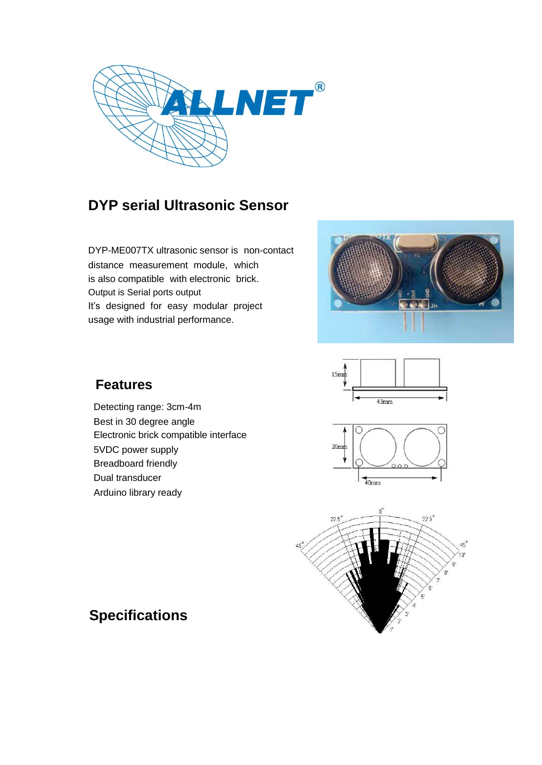

## **DYP serial Ultrasonic Sensor**

DYP-ME007TX ultrasonic sensor is non-contact distance measurement module, which is also compatible with electronic brick. Output is Serial ports output It's designed for easy modular project usage with industrial performance.





# $20$ mm  $40mm$



### **Features**

Detecting range: 3cm-4m Best in 30 degree angle Electronic brick compatible interface 5VDC power supply Breadboard friendly Dual transducer Arduino library ready

## **Specifications**